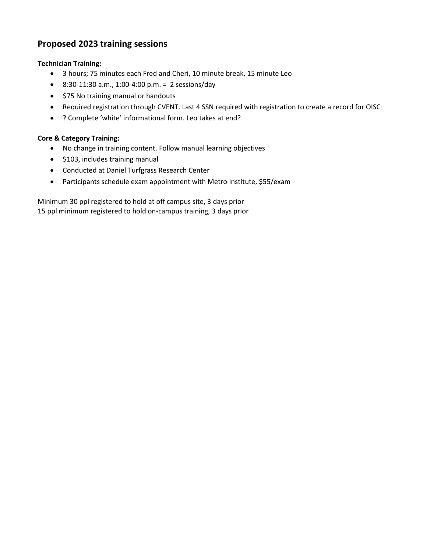## **Proposed 2023 training sessions**

## **Technician Training:**

- 3 hours; 75 minutes each Fred and Cheri, 10 minute break, 15 minute Leo
- 8:30-11:30 a.m., 1:00-4:00 p.m. = 2 sessions/day
- \$75 No training manual or handouts
- Required registration through CVENT. Last 4 SSN required with registration to create a record for OISC
- ? Complete 'white' informational form. Leo takes at end?

## **Core & Category Training:**

- No change in training content. Follow manual learning objectives
- \$103, includes training manual
- Conducted at Daniel Turfgrass Research Center
- Participants schedule exam appointment with Metro Institute, \$55/exam

Minimum 30 ppl registered to hold at off campus site, 3 days prior 15 ppl minimum registered to hold on-campus training, 3 days prior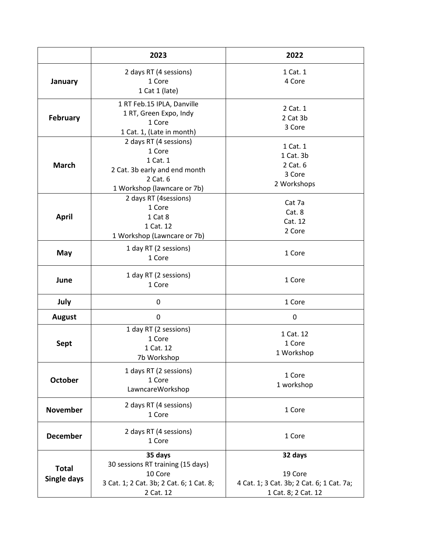|                             | 2023                                                                                                                     | 2022                                                                                   |
|-----------------------------|--------------------------------------------------------------------------------------------------------------------------|----------------------------------------------------------------------------------------|
| January                     | 2 days RT (4 sessions)<br>1 Core<br>1 Cat 1 (late)                                                                       | 1 Cat. 1<br>4 Core                                                                     |
| February                    | 1 RT Feb.15 IPLA, Danville<br>1 RT, Green Expo, Indy<br>1 Core<br>1 Cat. 1, (Late in month)                              | 2 Cat. 1<br>2 Cat 3b<br>3 Core                                                         |
| <b>March</b>                | 2 days RT (4 sessions)<br>1 Core<br>1 Cat. 1<br>2 Cat. 3b early and end month<br>2 Cat. 6<br>1 Workshop (lawncare or 7b) | 1 Cat. 1<br>1 Cat. 3b<br>2 Cat. 6<br>3 Core<br>2 Workshops                             |
| <b>April</b>                | 2 days RT (4sessions)<br>1 Core<br>1 Cat 8<br>1 Cat. 12<br>1 Workshop (Lawncare or 7b)                                   | Cat 7a<br>Cat. 8<br>Cat. 12<br>2 Core                                                  |
| May                         | 1 day RT (2 sessions)<br>1 Core                                                                                          | 1 Core                                                                                 |
| June                        | 1 day RT (2 sessions)<br>1 Core                                                                                          | 1 Core                                                                                 |
| July                        | 0                                                                                                                        | 1 Core                                                                                 |
| <b>August</b>               | 0                                                                                                                        | 0                                                                                      |
| <b>Sept</b>                 | 1 day RT (2 sessions)<br>1 Core<br>1 Cat. 12<br>7b Workshop                                                              | 1 Cat. 12<br>1 Core<br>1 Workshop                                                      |
| <b>October</b>              | 1 days RT (2 sessions)<br>1 Core<br>LawncareWorkshop                                                                     | 1 Core<br>1 workshop                                                                   |
| <b>November</b>             | 2 days RT (4 sessions)<br>1 Core                                                                                         | 1 Core                                                                                 |
| <b>December</b>             | 2 days RT (4 sessions)<br>1 Core                                                                                         | 1 Core                                                                                 |
| <b>Total</b><br>Single days | 35 days<br>30 sessions RT training (15 days)<br>10 Core<br>3 Cat. 1; 2 Cat. 3b; 2 Cat. 6; 1 Cat. 8;<br>2 Cat. 12         | 32 days<br>19 Core<br>4 Cat. 1; 3 Cat. 3b; 2 Cat. 6; 1 Cat. 7a;<br>1 Cat. 8; 2 Cat. 12 |